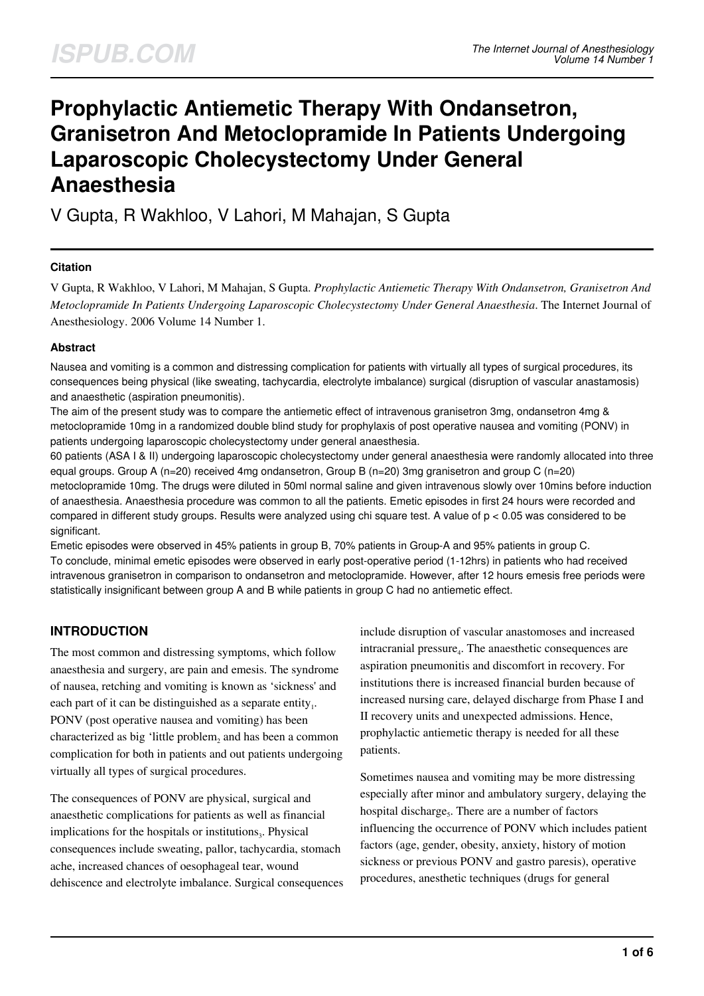# **Prophylactic Antiemetic Therapy With Ondansetron, Granisetron And Metoclopramide In Patients Undergoing Laparoscopic Cholecystectomy Under General Anaesthesia**

V Gupta, R Wakhloo, V Lahori, M Mahajan, S Gupta

#### **Citation**

V Gupta, R Wakhloo, V Lahori, M Mahajan, S Gupta. *Prophylactic Antiemetic Therapy With Ondansetron, Granisetron And Metoclopramide In Patients Undergoing Laparoscopic Cholecystectomy Under General Anaesthesia*. The Internet Journal of Anesthesiology. 2006 Volume 14 Number 1.

#### **Abstract**

Nausea and vomiting is a common and distressing complication for patients with virtually all types of surgical procedures, its consequences being physical (like sweating, tachycardia, electrolyte imbalance) surgical (disruption of vascular anastamosis) and anaesthetic (aspiration pneumonitis).

The aim of the present study was to compare the antiemetic effect of intravenous granisetron 3mg, ondansetron 4mg & metoclopramide 10mg in a randomized double blind study for prophylaxis of post operative nausea and vomiting (PONV) in patients undergoing laparoscopic cholecystectomy under general anaesthesia.

60 patients (ASA I & II) undergoing laparoscopic cholecystectomy under general anaesthesia were randomly allocated into three equal groups. Group A (n=20) received 4mg ondansetron, Group B (n=20) 3mg granisetron and group C (n=20) metoclopramide 10mg. The drugs were diluted in 50ml normal saline and given intravenous slowly over 10mins before induction of anaesthesia. Anaesthesia procedure was common to all the patients. Emetic episodes in first 24 hours were recorded and compared in different study groups. Results were analyzed using chi square test. A value of p < 0.05 was considered to be significant.

Emetic episodes were observed in 45% patients in group B, 70% patients in Group-A and 95% patients in group C. To conclude, minimal emetic episodes were observed in early post-operative period (1-12hrs) in patients who had received intravenous granisetron in comparison to ondansetron and metoclopramide. However, after 12 hours emesis free periods were statistically insignificant between group A and B while patients in group C had no antiemetic effect.

# **INTRODUCTION**

The most common and distressing symptoms, which follow anaesthesia and surgery, are pain and emesis. The syndrome of nausea, retching and vomiting is known as 'sickness' and each part of it can be distinguished as a separate entity<sub>1</sub>. PONV (post operative nausea and vomiting) has been characterized as big 'little problem<sub>2</sub> and has been a common complication for both in patients and out patients undergoing virtually all types of surgical procedures.

The consequences of PONV are physical, surgical and anaesthetic complications for patients as well as financial implications for the hospitals or institutions<sub>3</sub>. Physical consequences include sweating, pallor, tachycardia, stomach ache, increased chances of oesophageal tear, wound dehiscence and electrolyte imbalance. Surgical consequences include disruption of vascular anastomoses and increased intracranial pressure<sub>4</sub>. The anaesthetic consequences are aspiration pneumonitis and discomfort in recovery. For institutions there is increased financial burden because of increased nursing care, delayed discharge from Phase I and II recovery units and unexpected admissions. Hence, prophylactic antiemetic therapy is needed for all these patients.

Sometimes nausea and vomiting may be more distressing especially after minor and ambulatory surgery, delaying the hospital discharge<sub>5</sub>. There are a number of factors influencing the occurrence of PONV which includes patient factors (age, gender, obesity, anxiety, history of motion sickness or previous PONV and gastro paresis), operative procedures, anesthetic techniques (drugs for general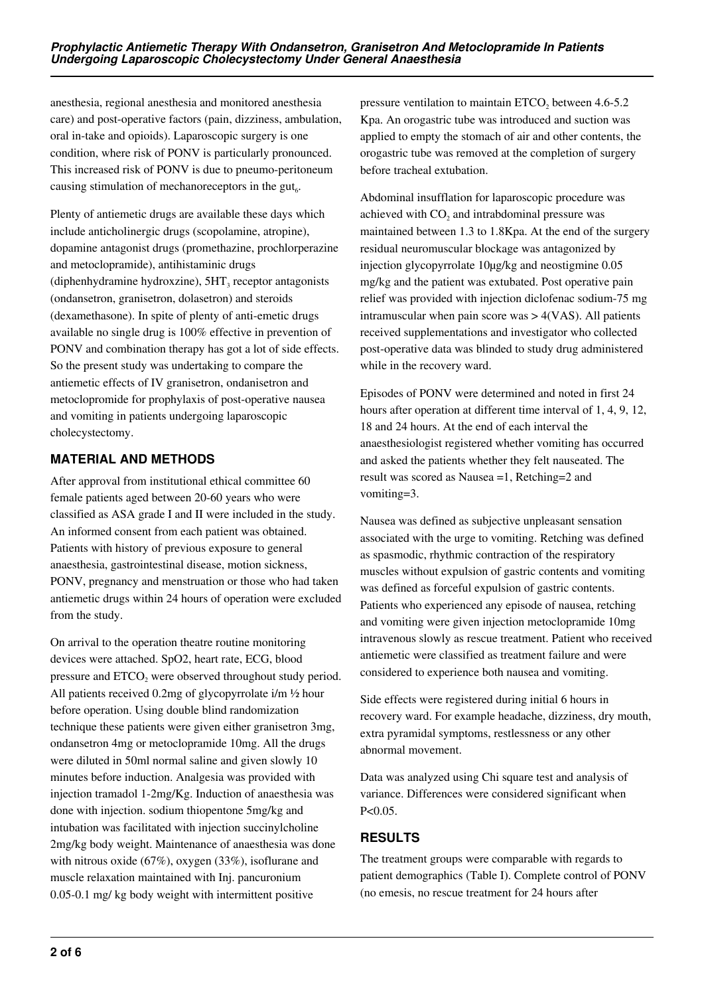anesthesia, regional anesthesia and monitored anesthesia care) and post-operative factors (pain, dizziness, ambulation, oral in-take and opioids). Laparoscopic surgery is one condition, where risk of PONV is particularly pronounced. This increased risk of PONV is due to pneumo-peritoneum causing stimulation of mechanoreceptors in the gut $_6$ .

Plenty of antiemetic drugs are available these days which include anticholinergic drugs (scopolamine, atropine), dopamine antagonist drugs (promethazine, prochlorperazine and metoclopramide), antihistaminic drugs (diphenhydramine hydroxzine),  $5HT_3$  receptor antagonists (ondansetron, granisetron, dolasetron) and steroids (dexamethasone). In spite of plenty of anti-emetic drugs available no single drug is 100% effective in prevention of PONV and combination therapy has got a lot of side effects. So the present study was undertaking to compare the antiemetic effects of IV granisetron, ondanisetron and metoclopromide for prophylaxis of post-operative nausea and vomiting in patients undergoing laparoscopic cholecystectomy.

# **MATERIAL AND METHODS**

After approval from institutional ethical committee 60 female patients aged between 20-60 years who were classified as ASA grade I and II were included in the study. An informed consent from each patient was obtained. Patients with history of previous exposure to general anaesthesia, gastrointestinal disease, motion sickness, PONV, pregnancy and menstruation or those who had taken antiemetic drugs within 24 hours of operation were excluded from the study.

On arrival to the operation theatre routine monitoring devices were attached. SpO2, heart rate, ECG, blood pressure and  $ETCO<sub>2</sub>$  were observed throughout study period. All patients received 0.2mg of glycopyrrolate i/m ½ hour before operation. Using double blind randomization technique these patients were given either granisetron 3mg, ondansetron 4mg or metoclopramide 10mg. All the drugs were diluted in 50ml normal saline and given slowly 10 minutes before induction. Analgesia was provided with injection tramadol 1-2mg/Kg. Induction of anaesthesia was done with injection. sodium thiopentone 5mg/kg and intubation was facilitated with injection succinylcholine 2mg/kg body weight. Maintenance of anaesthesia was done with nitrous oxide (67%), oxygen (33%), isoflurane and muscle relaxation maintained with Inj. pancuronium 0.05-0.1 mg/ kg body weight with intermittent positive

pressure ventilation to maintain  $ETCO<sub>2</sub>$  between 4.6-5.2 Kpa. An orogastric tube was introduced and suction was applied to empty the stomach of air and other contents, the orogastric tube was removed at the completion of surgery before tracheal extubation.

Abdominal insufflation for laparoscopic procedure was achieved with  $CO<sub>2</sub>$  and intrabdominal pressure was maintained between 1.3 to 1.8Kpa. At the end of the surgery residual neuromuscular blockage was antagonized by injection glycopyrrolate 10µg/kg and neostigmine 0.05 mg/kg and the patient was extubated. Post operative pain relief was provided with injection diclofenac sodium-75 mg intramuscular when pain score was > 4(VAS). All patients received supplementations and investigator who collected post-operative data was blinded to study drug administered while in the recovery ward.

Episodes of PONV were determined and noted in first 24 hours after operation at different time interval of 1, 4, 9, 12, 18 and 24 hours. At the end of each interval the anaesthesiologist registered whether vomiting has occurred and asked the patients whether they felt nauseated. The result was scored as Nausea =1, Retching=2 and vomiting=3.

Nausea was defined as subjective unpleasant sensation associated with the urge to vomiting. Retching was defined as spasmodic, rhythmic contraction of the respiratory muscles without expulsion of gastric contents and vomiting was defined as forceful expulsion of gastric contents. Patients who experienced any episode of nausea, retching and vomiting were given injection metoclopramide 10mg intravenous slowly as rescue treatment. Patient who received antiemetic were classified as treatment failure and were considered to experience both nausea and vomiting.

Side effects were registered during initial 6 hours in recovery ward. For example headache, dizziness, dry mouth, extra pyramidal symptoms, restlessness or any other abnormal movement.

Data was analyzed using Chi square test and analysis of variance. Differences were considered significant when  $P < 0.05$ .

# **RESULTS**

The treatment groups were comparable with regards to patient demographics (Table I). Complete control of PONV (no emesis, no rescue treatment for 24 hours after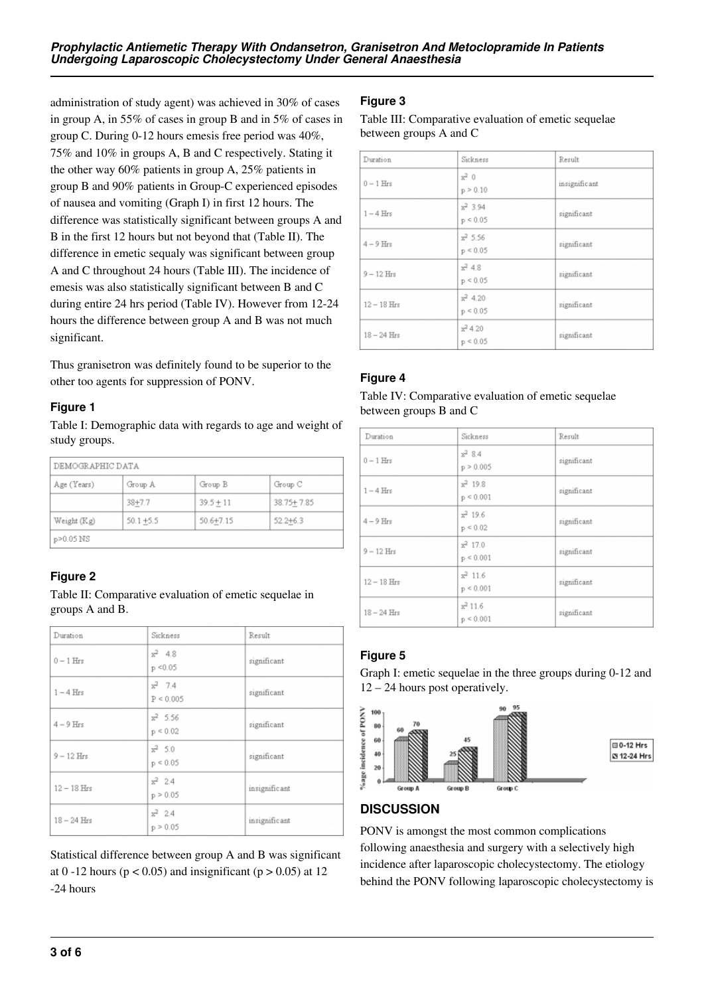administration of study agent) was achieved in 30% of cases in group A, in 55% of cases in group B and in 5% of cases in group C. During 0-12 hours emesis free period was 40%, 75% and 10% in groups A, B and C respectively. Stating it the other way 60% patients in group A, 25% patients in group B and 90% patients in Group-C experienced episodes of nausea and vomiting (Graph I) in first 12 hours. The difference was statistically significant between groups A and B in the first 12 hours but not beyond that (Table II). The difference in emetic sequaly was significant between group A and C throughout 24 hours (Table III). The incidence of emesis was also statistically significant between B and C during entire 24 hrs period (Table IV). However from 12-24 hours the difference between group A and B was not much significant.

Thus granisetron was definitely found to be superior to the other too agents for suppression of PONV.

#### **Figure 1**

Table I: Demographic data with regards to age and weight of study groups.

| Age (Years) | Group A      | Group B       | Group C      |
|-------------|--------------|---------------|--------------|
|             | $38 + 7.7$   | $39.5 + 11$   | 38.75+7.85   |
| Weight (Kg) | $50.1 + 5.5$ | $50.6 + 7.15$ | $52.2 + 6.3$ |

# **Figure 2**

Table II: Comparative evaluation of emetic sequelae in groups A and B.

| Duration      | Sickness                  | Result        |
|---------------|---------------------------|---------------|
| $0-1$ Hrs     | $x^2$ 4.8<br>$p \le 0.05$ | significant   |
| $1-4$ Hrs     | $x^2$ 7.4<br>P < 0.005    | significant   |
| $4-9$ Hrs     | $x^2$ 5.56<br>p < 0.02    | significant   |
| $9 - 12$ Hrs  | $x^2$ 5.0<br>p < 0.05     | significant   |
| $12-18$ Hrs   | $x^2$ 2.4<br>p > 0.05     | insignificant |
| $18 - 24$ Hrs | $x^2$ 2.4<br>p > 0.05     | insignificant |

Statistical difference between group A and B was significant at 0 -12 hours ( $p < 0.05$ ) and insignificant ( $p > 0.05$ ) at 12 -24 hours

# **Figure 3**

Table III: Comparative evaluation of emetic sequelae between groups A and C

| Duration      | Sickness                  | Result        |
|---------------|---------------------------|---------------|
| $0-1$ Hrs     | $x^2$ 0<br>p > 0.10       | insignificant |
| $1-4$ Hrs     | $x^2$ 3.94<br>p < 0.05    | significant   |
| $4-9$ Hrs     | $x^2$ 5.56<br>p < 0.05    | significant   |
| $9 - 12$ Hrs  | $x^2$ 4.8<br>$p \le 0.05$ | significant   |
| $12 - 18$ Hrs | $x^2$ 4.20<br>p < 0.05    | significant   |
| $18 - 24$ Hrs | $x^2$ 4.20<br>p < 0.05    | significant   |

# **Figure 4**

#### Table IV: Comparative evaluation of emetic sequelae between groups B and C

| Duration      | Sickness                    | Result      |
|---------------|-----------------------------|-------------|
| $0-1$ Hrs     | $x^2$ 8.4<br>p > 0.005      | significant |
| $1-4$ Hrs     | $x^2$ 19.8<br>$p \le 0.001$ | significant |
| $4-9$ Hrs     | $x^2$ 19.6<br>p < 0.02      | significant |
| $9 - 12$ Hrs  | $x^2$ 17.0<br>p < 0.001     | significant |
| $12 - 18$ Hrs | $x^2$ 11.6<br>$p \le 0.001$ | significant |
| $18 - 24$ Hrs | $x^2$ 11.6<br>$p \le 0.001$ | significant |

# **Figure 5**

Graph I: emetic sequelae in the three groups during 0-12 and 12 – 24 hours post operatively.



# **DISCUSSION**

PONV is amongst the most common complications following anaesthesia and surgery with a selectively high incidence after laparoscopic cholecystectomy. The etiology behind the PONV following laparoscopic cholecystectomy is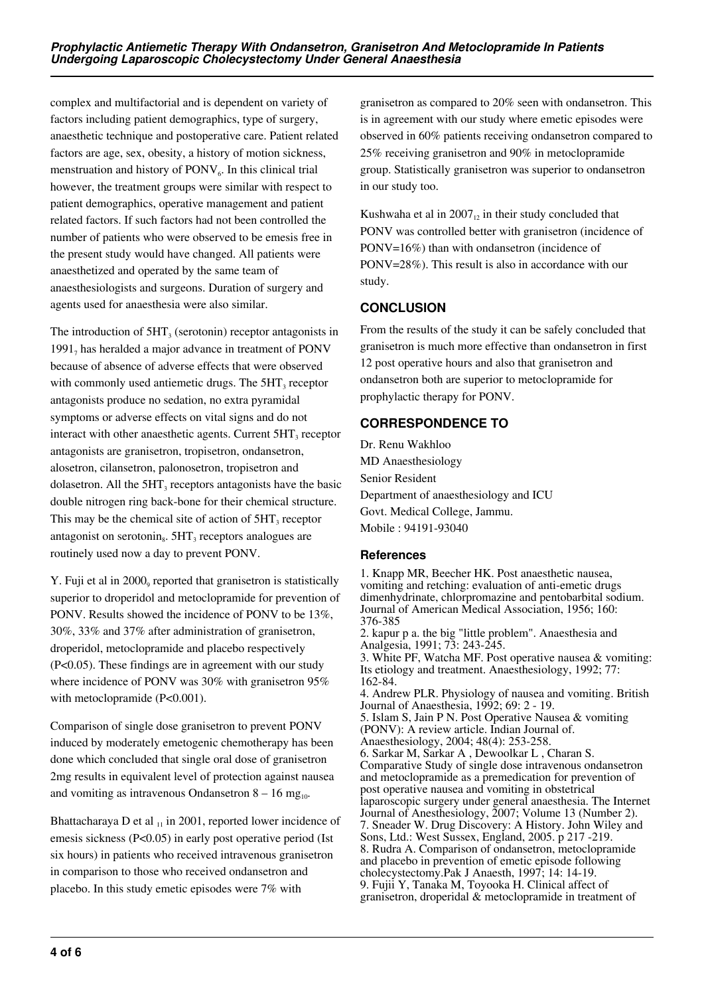complex and multifactorial and is dependent on variety of factors including patient demographics, type of surgery, anaesthetic technique and postoperative care. Patient related factors are age, sex, obesity, a history of motion sickness, menstruation and history of PONV<sub>6</sub>. In this clinical trial however, the treatment groups were similar with respect to patient demographics, operative management and patient related factors. If such factors had not been controlled the number of patients who were observed to be emesis free in the present study would have changed. All patients were anaesthetized and operated by the same team of anaesthesiologists and surgeons. Duration of surgery and agents used for anaesthesia were also similar.

The introduction of  $5HT_3$  (serotonin) receptor antagonists in  $1991<sub>7</sub>$  has heralded a major advance in treatment of PONV because of absence of adverse effects that were observed with commonly used antiemetic drugs. The  $5HT_3$  receptor antagonists produce no sedation, no extra pyramidal symptoms or adverse effects on vital signs and do not interact with other anaesthetic agents. Current  $5HT_3$  receptor antagonists are granisetron, tropisetron, ondansetron, alosetron, cilansetron, palonosetron, tropisetron and dolasetron. All the  $5HT_3$  receptors antagonists have the basic double nitrogen ring back-bone for their chemical structure. This may be the chemical site of action of  $5HT_3$  receptor antagonist on serotonin $_8$ . 5HT<sub>3</sub> receptors analogues are routinely used now a day to prevent PONV.

Y. Fuji et al in 2000, reported that granisetron is statistically superior to droperidol and metoclopramide for prevention of PONV. Results showed the incidence of PONV to be 13%, 30%, 33% and 37% after administration of granisetron, droperidol, metoclopramide and placebo respectively (P<0.05). These findings are in agreement with our study where incidence of PONV was 30% with granisetron 95% with metoclopramide (P<0.001).

Comparison of single dose granisetron to prevent PONV induced by moderately emetogenic chemotherapy has been done which concluded that single oral dose of granisetron 2mg results in equivalent level of protection against nausea and vomiting as intravenous Ondansetron  $8 - 16$  mg<sub>10</sub>.

Bhattacharaya D et al  $_{11}$  in 2001, reported lower incidence of emesis sickness (P<0.05) in early post operative period (Ist six hours) in patients who received intravenous granisetron in comparison to those who received ondansetron and placebo. In this study emetic episodes were 7% with

granisetron as compared to 20% seen with ondansetron. This is in agreement with our study where emetic episodes were observed in 60% patients receiving ondansetron compared to 25% receiving granisetron and 90% in metoclopramide group. Statistically granisetron was superior to ondansetron in our study too.

Kushwaha et al in  $2007<sub>12</sub>$  in their study concluded that PONV was controlled better with granisetron (incidence of PONV=16%) than with ondansetron (incidence of PONV=28%). This result is also in accordance with our study.

# **CONCLUSION**

From the results of the study it can be safely concluded that granisetron is much more effective than ondansetron in first 12 post operative hours and also that granisetron and ondansetron both are superior to metoclopramide for prophylactic therapy for PONV.

# **CORRESPONDENCE TO**

Dr. Renu Wakhloo MD Anaesthesiology Senior Resident Department of anaesthesiology and ICU Govt. Medical College, Jammu. Mobile : 94191-93040

#### **References**

1. Knapp MR, Beecher HK. Post anaesthetic nausea, vomiting and retching: evaluation of anti-emetic drugs dimenhydrinate, chlorpromazine and pentobarbital sodium. Journal of American Medical Association, 1956; 160: 376-385 2. kapur p a. the big "little problem". Anaesthesia and Analgesia, 1991; 73: 243-245. 3. White PF, Watcha MF. Post operative nausea & vomiting: Its etiology and treatment. Anaesthesiology, 1992; 77: 162-84. 4. Andrew PLR. Physiology of nausea and vomiting. British Journal of Anaesthesia, 1992; 69: 2 - 19. 5. Islam S, Jain P N. Post Operative Nausea & vomiting (PONV): A review article. Indian Journal of. Anaesthesiology, 2004; 48(4): 253-258. 6. Sarkar M, Sarkar A , Dewoolkar L , Charan S. Comparative Study of single dose intravenous ondansetron and metoclopramide as a premedication for prevention of post operative nausea and vomiting in obstetrical laparoscopic surgery under general anaesthesia. The Internet Journal of Anesthesiology, 2007; Volume 13 (Number 2). 7. Sneader W. Drug Discovery: A History. John Wiley and Sons, Ltd.: West Sussex, England, 2005. p 217 -219. 8. Rudra A. Comparison of ondansetron, metoclopramide and placebo in prevention of emetic episode following cholecystectomy.Pak J Anaesth, 1997; 14: 14-19. 9. Fujii Y, Tanaka M, Toyooka H. Clinical affect of granisetron, droperidal & metoclopramide in treatment of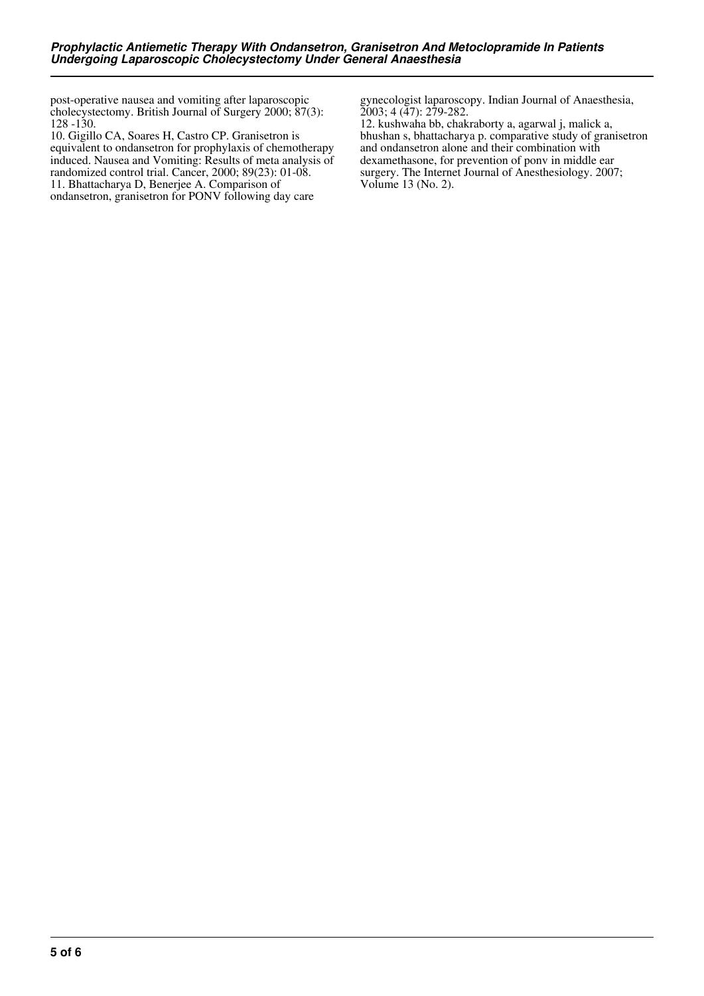post-operative nausea and vomiting after laparoscopic cholecystectomy. British Journal of Surgery 2000; 87(3): 128 -130.

10. Gigillo CA, Soares H, Castro CP. Granisetron is equivalent to ondansetron for prophylaxis of chemotherapy induced. Nausea and Vomiting: Results of meta analysis of randomized control trial. Cancer, 2000; 89(23): 01-08. 11. Bhattacharya D, Benerjee A. Comparison of

ondansetron, granisetron for PONV following day care

gynecologist laparoscopy. Indian Journal of Anaesthesia, 2003; 4 (47): 279-282.

12. kushwaha bb, chakraborty a, agarwal j, malick a, bhushan s, bhattacharya p. comparative study of granisetron and ondansetron alone and their combination with dexamethasone, for prevention of ponv in middle ear surgery. The Internet Journal of Anesthesiology. 2007; Volume 13 (No. 2).